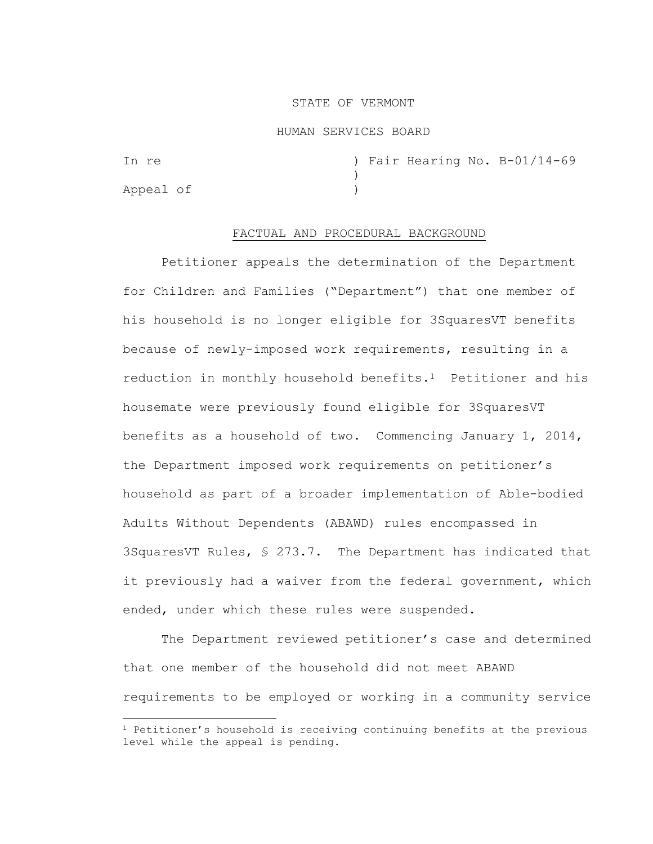### STATE OF VERMONT

#### HUMAN SERVICES BOARD

In re  $\qquad$  ) Fair Hearing No. B-01/14-69 ) Appeal of )

# FACTUAL AND PROCEDURAL BACKGROUND

Petitioner appeals the determination of the Department for Children and Families ("Department") that one member of his household is no longer eligible for 3SquaresVT benefits because of newly-imposed work requirements, resulting in a reduction in monthly household benefits.1 Petitioner and his housemate were previously found eligible for 3SquaresVT benefits as a household of two. Commencing January 1, 2014, the Department imposed work requirements on petitioner's household as part of a broader implementation of Able-bodied Adults Without Dependents (ABAWD) rules encompassed in 3SquaresVT Rules, § 273.7. The Department has indicated that it previously had a waiver from the federal government, which ended, under which these rules were suspended.

The Department reviewed petitioner's case and determined that one member of the household did not meet ABAWD requirements to be employed or working in a community service

 $1$  Petitioner's household is receiving continuing benefits at the previous level while the appeal is pending.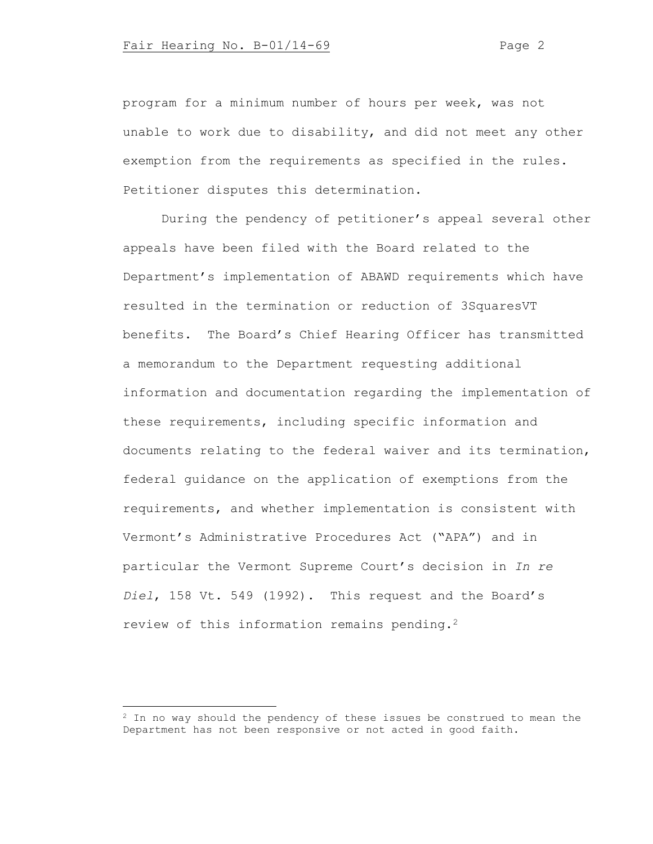program for a minimum number of hours per week, was not unable to work due to disability, and did not meet any other exemption from the requirements as specified in the rules. Petitioner disputes this determination.

During the pendency of petitioner's appeal several other appeals have been filed with the Board related to the Department's implementation of ABAWD requirements which have resulted in the termination or reduction of 3SquaresVT benefits. The Board's Chief Hearing Officer has transmitted a memorandum to the Department requesting additional information and documentation regarding the implementation of these requirements, including specific information and documents relating to the federal waiver and its termination, federal guidance on the application of exemptions from the requirements, and whether implementation is consistent with Vermont's Administrative Procedures Act ("APA") and in particular the Vermont Supreme Court's decision in *In re Diel*, 158 Vt. 549 (1992). This request and the Board's review of this information remains pending.<sup>2</sup>

 $2$  In no way should the pendency of these issues be construed to mean the Department has not been responsive or not acted in good faith.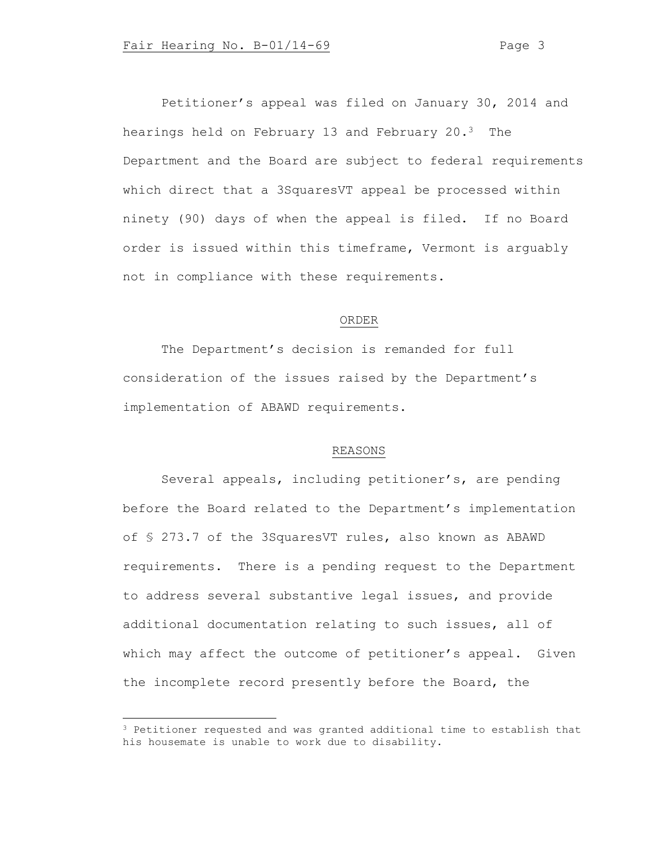Petitioner's appeal was filed on January 30, 2014 and hearings held on February 13 and February 20.3 The Department and the Board are subject to federal requirements which direct that a 3SquaresVT appeal be processed within ninety (90) days of when the appeal is filed. If no Board order is issued within this timeframe, Vermont is arguably not in compliance with these requirements.

### ORDER

The Department's decision is remanded for full consideration of the issues raised by the Department's implementation of ABAWD requirements.

## REASONS

Several appeals, including petitioner's, are pending before the Board related to the Department's implementation of § 273.7 of the 3SquaresVT rules, also known as ABAWD requirements. There is a pending request to the Department to address several substantive legal issues, and provide additional documentation relating to such issues, all of which may affect the outcome of petitioner's appeal. Given the incomplete record presently before the Board, the

<sup>&</sup>lt;sup>3</sup> Petitioner requested and was granted additional time to establish that his housemate is unable to work due to disability.